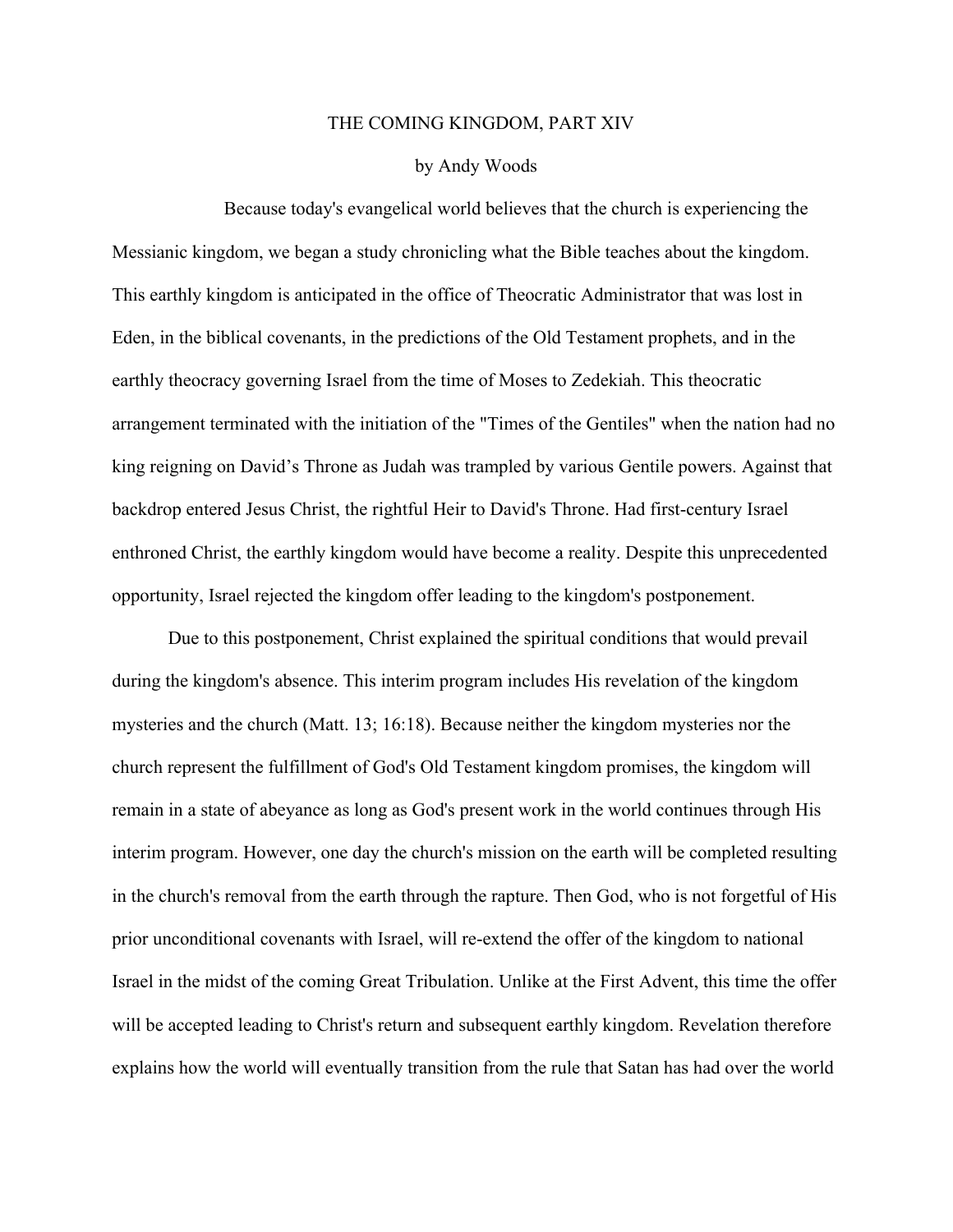## THE COMING KINGDOM, PART XIV

## by Andy Woods

Because today's evangelical world believes that the church is experiencing the Messianic kingdom, we began a study chronicling what the Bible teaches about the kingdom. This earthly kingdom is anticipated in the office of Theocratic Administrator that was lost in Eden, in the biblical covenants, in the predictions of the Old Testament prophets, and in the earthly theocracy governing Israel from the time of Moses to Zedekiah. This theocratic arrangement terminated with the initiation of the "Times of the Gentiles" when the nation had no king reigning on David's Throne as Judah was trampled by various Gentile powers. Against that backdrop entered Jesus Christ, the rightful Heir to David's Throne. Had first-century Israel enthroned Christ, the earthly kingdom would have become a reality. Despite this unprecedented opportunity, Israel rejected the kingdom offer leading to the kingdom's postponement.

Due to this postponement, Christ explained the spiritual conditions that would prevail during the kingdom's absence. This interim program includes His revelation of the kingdom mysteries and the church (Matt. 13; 16:18). Because neither the kingdom mysteries nor the church represent the fulfillment of God's Old Testament kingdom promises, the kingdom will remain in a state of abeyance as long as God's present work in the world continues through His interim program. However, one day the church's mission on the earth will be completed resulting in the church's removal from the earth through the rapture. Then God, who is not forgetful of His prior unconditional covenants with Israel, will re-extend the offer of the kingdom to national Israel in the midst of the coming Great Tribulation. Unlike at the First Advent, this time the offer will be accepted leading to Christ's return and subsequent earthly kingdom. Revelation therefore explains how the world will eventually transition from the rule that Satan has had over the world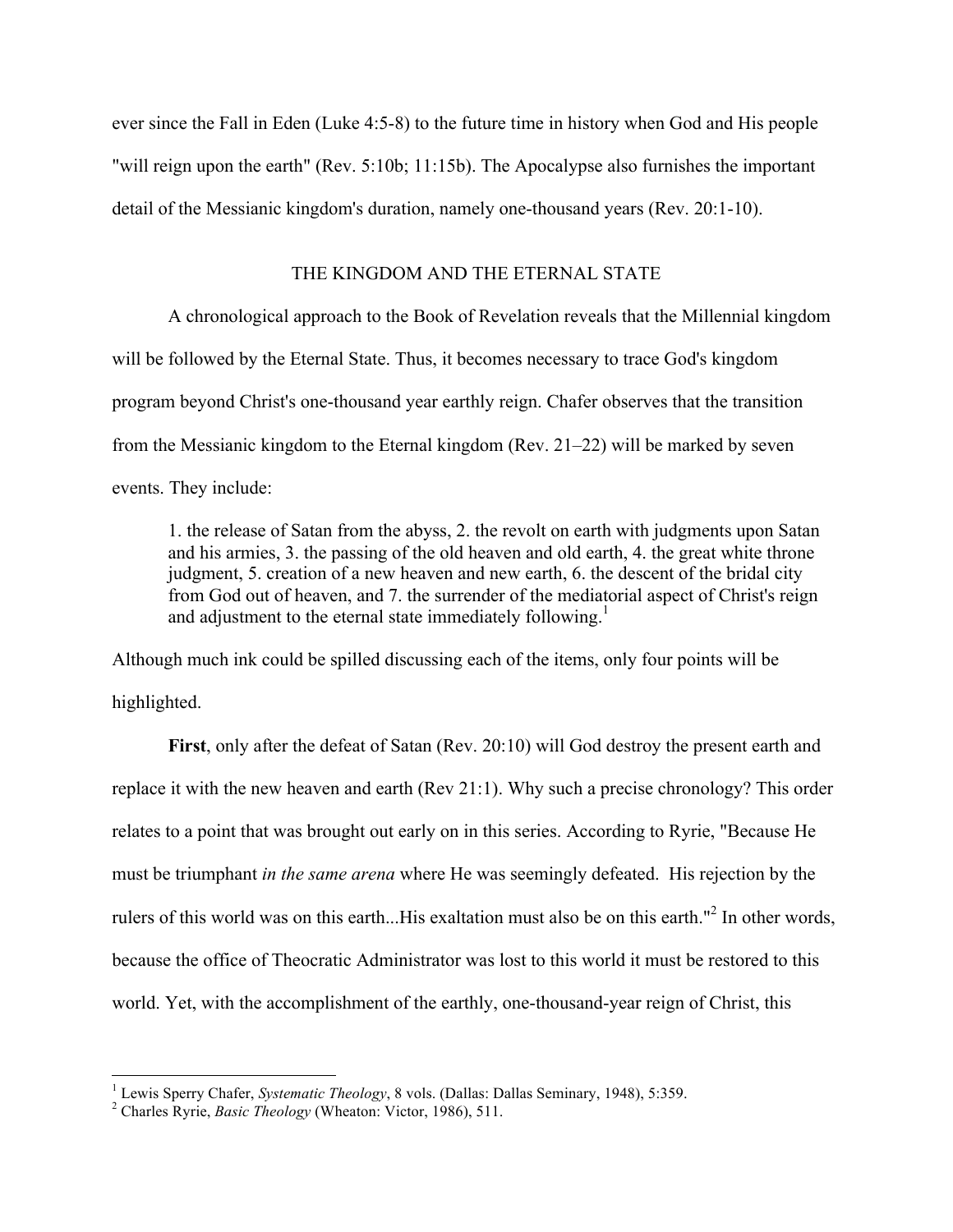ever since the Fall in Eden (Luke 4:5-8) to the future time in history when God and His people "will reign upon the earth" (Rev. 5:10b; 11:15b). The Apocalypse also furnishes the important detail of the Messianic kingdom's duration, namely one-thousand years (Rev. 20:1-10).

## THE KINGDOM AND THE ETERNAL STATE

A chronological approach to the Book of Revelation reveals that the Millennial kingdom will be followed by the Eternal State. Thus, it becomes necessary to trace God's kingdom program beyond Christ's one-thousand year earthly reign. Chafer observes that the transition from the Messianic kingdom to the Eternal kingdom (Rev. 21–22) will be marked by seven events. They include:

1. the release of Satan from the abyss, 2. the revolt on earth with judgments upon Satan and his armies, 3. the passing of the old heaven and old earth, 4. the great white throne judgment, 5. creation of a new heaven and new earth, 6. the descent of the bridal city from God out of heaven, and 7. the surrender of the mediatorial aspect of Christ's reign and adjustment to the eternal state immediately following.<sup>1</sup>

Although much ink could be spilled discussing each of the items, only four points will be highlighted.

**First**, only after the defeat of Satan (Rev. 20:10) will God destroy the present earth and replace it with the new heaven and earth (Rev 21:1). Why such a precise chronology? This order relates to a point that was brought out early on in this series. According to Ryrie, "Because He must be triumphant *in the same arena* where He was seemingly defeated. His rejection by the rulers of this world was on this earth...His exaltation must also be on this earth."<sup>2</sup> In other words, because the office of Theocratic Administrator was lost to this world it must be restored to this world. Yet, with the accomplishment of the earthly, one-thousand-year reign of Christ, this

<sup>&</sup>lt;sup>1</sup> Lewis Sperry Chafer, *Systematic Theology*, 8 vols. (Dallas: Dallas Seminary, 1948), 5:359.<br><sup>2</sup> Charles Ryrie, *Basic Theology* (Wheaton: Victor, 1986), 511.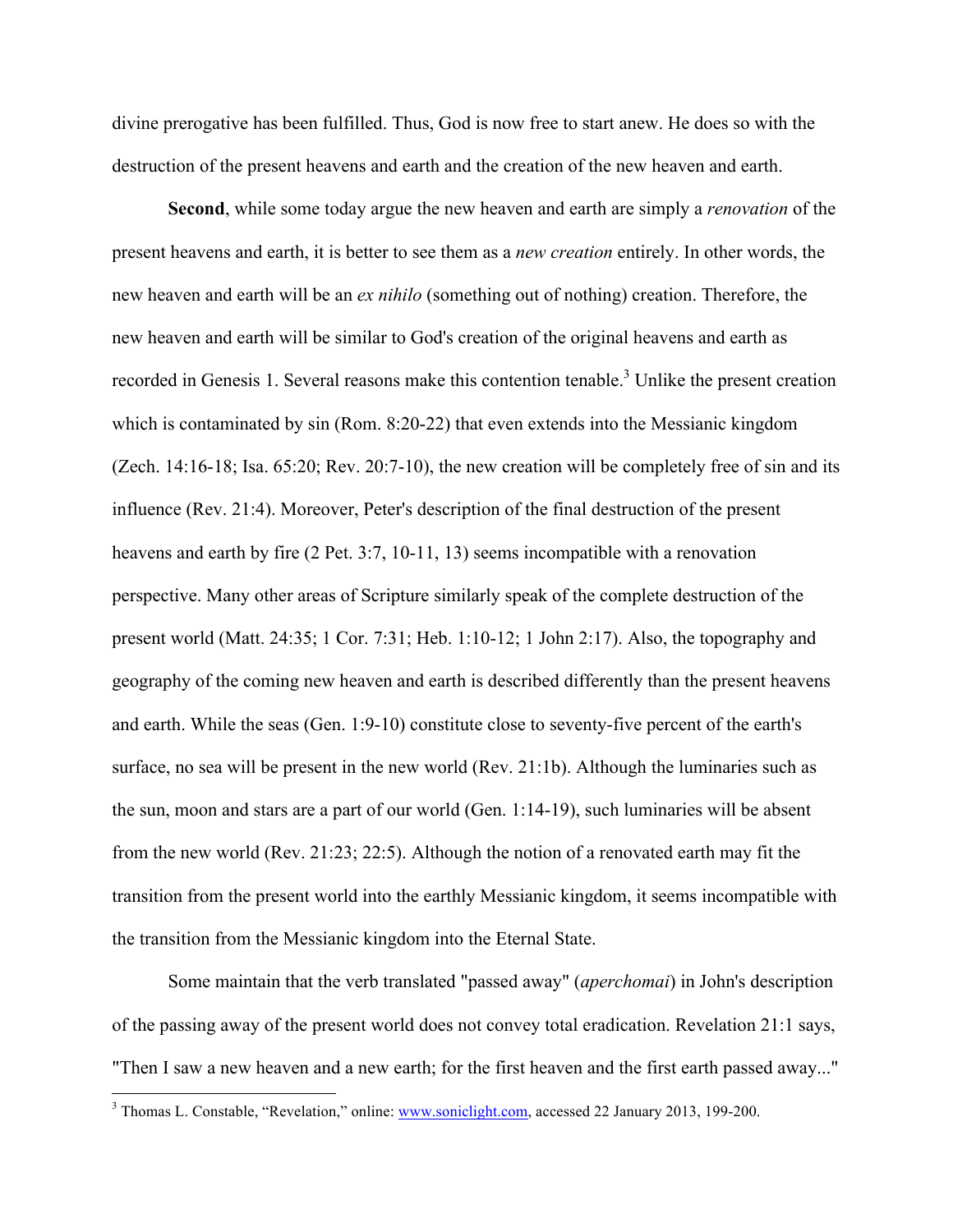divine prerogative has been fulfilled. Thus, God is now free to start anew. He does so with the destruction of the present heavens and earth and the creation of the new heaven and earth.

**Second**, while some today argue the new heaven and earth are simply a *renovation* of the present heavens and earth, it is better to see them as a *new creation* entirely. In other words, the new heaven and earth will be an *ex nihilo* (something out of nothing) creation. Therefore, the new heaven and earth will be similar to God's creation of the original heavens and earth as recorded in Genesis 1. Several reasons make this contention tenable.<sup>3</sup> Unlike the present creation which is contaminated by sin (Rom. 8:20-22) that even extends into the Messianic kingdom (Zech. 14:16-18; Isa. 65:20; Rev. 20:7-10), the new creation will be completely free of sin and its influence (Rev. 21:4). Moreover, Peter's description of the final destruction of the present heavens and earth by fire (2 Pet. 3:7, 10-11, 13) seems incompatible with a renovation perspective. Many other areas of Scripture similarly speak of the complete destruction of the present world (Matt. 24:35; 1 Cor. 7:31; Heb. 1:10-12; 1 John 2:17). Also, the topography and geography of the coming new heaven and earth is described differently than the present heavens and earth. While the seas (Gen. 1:9-10) constitute close to seventy-five percent of the earth's surface, no sea will be present in the new world (Rev. 21:1b). Although the luminaries such as the sun, moon and stars are a part of our world (Gen. 1:14-19), such luminaries will be absent from the new world (Rev. 21:23; 22:5). Although the notion of a renovated earth may fit the transition from the present world into the earthly Messianic kingdom, it seems incompatible with the transition from the Messianic kingdom into the Eternal State.

Some maintain that the verb translated "passed away" (*aperchomai*) in John's description of the passing away of the present world does not convey total eradication. Revelation 21:1 says, "Then I saw a new heaven and a new earth; for the first heaven and the first earth passed away..."

<sup>&</sup>lt;sup>3</sup> Thomas L. Constable, "Revelation," online: www.soniclight.com, accessed 22 January 2013, 199-200.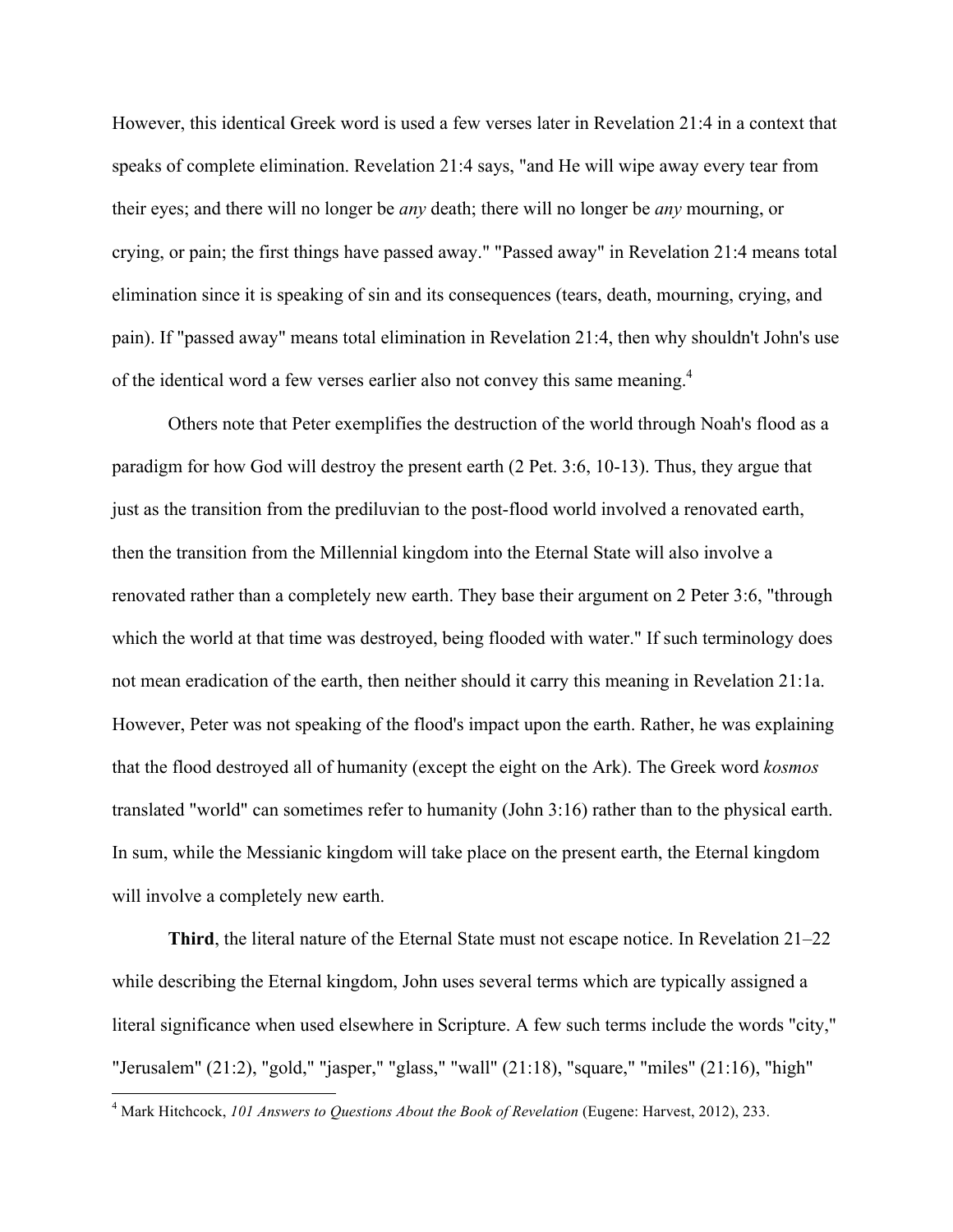However, this identical Greek word is used a few verses later in Revelation 21:4 in a context that speaks of complete elimination. Revelation 21:4 says, "and He will wipe away every tear from their eyes; and there will no longer be *any* death; there will no longer be *any* mourning, or crying, or pain; the first things have passed away." "Passed away" in Revelation 21:4 means total elimination since it is speaking of sin and its consequences (tears, death, mourning, crying, and pain). If "passed away" means total elimination in Revelation 21:4, then why shouldn't John's use of the identical word a few verses earlier also not convey this same meaning.<sup>4</sup>

Others note that Peter exemplifies the destruction of the world through Noah's flood as a paradigm for how God will destroy the present earth (2 Pet. 3:6, 10-13). Thus, they argue that just as the transition from the prediluvian to the post-flood world involved a renovated earth, then the transition from the Millennial kingdom into the Eternal State will also involve a renovated rather than a completely new earth. They base their argument on 2 Peter 3:6, "through which the world at that time was destroyed, being flooded with water." If such terminology does not mean eradication of the earth, then neither should it carry this meaning in Revelation 21:1a. However, Peter was not speaking of the flood's impact upon the earth. Rather, he was explaining that the flood destroyed all of humanity (except the eight on the Ark). The Greek word *kosmos* translated "world" can sometimes refer to humanity (John 3:16) rather than to the physical earth. In sum, while the Messianic kingdom will take place on the present earth, the Eternal kingdom will involve a completely new earth.

**Third**, the literal nature of the Eternal State must not escape notice. In Revelation 21–22 while describing the Eternal kingdom, John uses several terms which are typically assigned a literal significance when used elsewhere in Scripture. A few such terms include the words "city," "Jerusalem" (21:2), "gold," "jasper," "glass," "wall" (21:18), "square," "miles" (21:16), "high"

 <sup>4</sup> Mark Hitchcock, *101 Answers to Questions About the Book of Revelation* (Eugene: Harvest, 2012), 233.